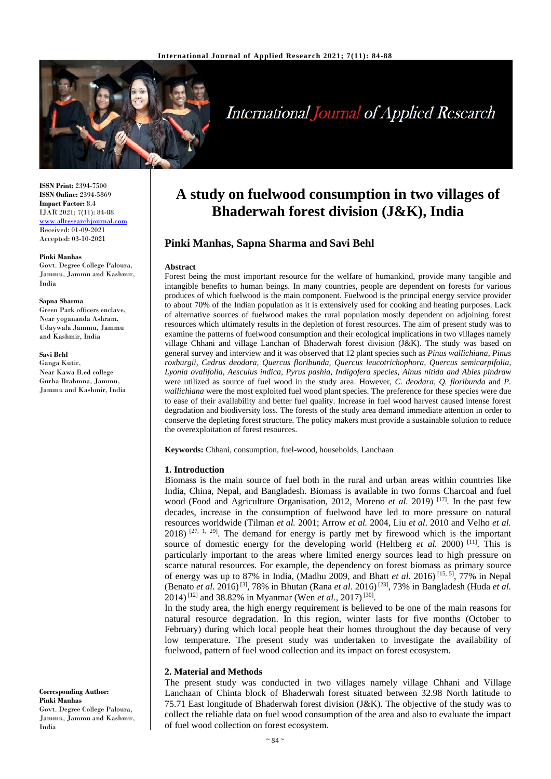

# **International Journal of Applied Research**

**ISSN Print:** 2394-7500 **ISSN Online:** 2394-5869 **Impact Factor:** 8.4 IJAR 2021; 7(11): 84-88 www.allresearchjournal.com Received: 01-09-2021 Accepted: 03-10-2021

#### **Pinki Manhas**

Govt. Degree College Paloura, Jammu, Jammu and Kashmir, India

#### **Sapna Sharma**

Green Park officers enclave, Near yogananda Ashram, Udaywala Jammu, Jammu and Kashmir, India

## **Savi Behl**

Ganga Kutir, Near Kawa B.ed college Gurha Brahmna, Jammu, Jammu and Kashmir, India

**Corresponding Author: Pinki Manhas**

India

Govt. Degree College Paloura, Jammu, Jammu and Kashmir, **A study on fuelwood consumption in two villages of Bhaderwah forest division (J&K), India**

# **Pinki Manhas, Sapna Sharma and Savi Behl**

#### **Abstract**

Forest being the most important resource for the welfare of humankind, provide many tangible and intangible benefits to human beings. In many countries, people are dependent on forests for various produces of which fuelwood is the main component. Fuelwood is the principal energy service provider to about 70% of the Indian population as it is extensively used for cooking and heating purposes. Lack of alternative sources of fuelwood makes the rural population mostly dependent on adjoining forest resources which ultimately results in the depletion of forest resources. The aim of present study was to examine the patterns of fuelwood consumption and their ecological implications in two villages namely village Chhani and village Lanchan of Bhaderwah forest division (J&K). The study was based on general survey and interview and it was observed that 12 plant species such as *Pinus wallichiana, Pinus roxburgii, Cedrus deodara, Quercus floribunda, Quercus leucotrichophora, Quercus semicarpifolia, Lyonia ovalifolia, Aesculus indica, Pyrus pashia, Indigofera species, Alnus nitida and Abies pindraw*  were utilized as source of fuel wood in the study area. However, *C. deodara, Q. floribunda* and *P. wallichiana* were the most exploited fuel wood plant species. The preference for these species were due to ease of their availability and better fuel quality. Increase in fuel wood harvest caused intense forest degradation and biodiversity loss. The forests of the study area demand immediate attention in order to conserve the depleting forest structure. The policy makers must provide a sustainable solution to reduce the overexploitation of forest resources.

**Keywords:** Chhani, consumption, fuel-wood, households, Lanchaan

### **1. Introduction**

Biomass is the main source of fuel both in the rural and urban areas within countries like India, China, Nepal, and Bangladesh. Biomass is available in two forms Charcoal and fuel wood (Food and Agriculture Organisation, 2012, Moreno *et al.* 2019)<sup>[17]</sup>. In the past few decades, increase in the consumption of fuelwood have led to more pressure on natural resources worldwide (Tilman *et al.* 2001; Arrow *et al.* 2004, Liu *et al*. 2010 and Velho *et al.*  $2018$ )  $[27, 1, 29]$ . The demand for energy is partly met by firewood which is the important source of domestic energy for the developing world (Heltberg *et al.* 2000)<sup>[11]</sup>. This is particularly important to the areas where limited energy sources lead to high pressure on scarce natural resources. For example, the dependency on forest biomass as primary source of energy was up to 87% in India, (Madhu 2009, and Bhatt *et al.* 2016)<sup>[15, 5]</sup>, 77% in Nepal (Benato *et al.* 2016)[3], 78% in Bhutan (Rana *et al.* 2016)[23], 73% in Bangladesh (Huda *et al.* 2014)[12] and 38.82% in Myanmar (Wen *et al*., 2017)[30].

In the study area, the high energy requirement is believed to be one of the main reasons for natural resource degradation. In this region, winter lasts for five months (October to February) during which local people heat their homes throughout the day because of very low temperature. The present study was undertaken to investigate the availability of fuelwood, pattern of fuel wood collection and its impact on forest ecosystem.

## **2. Material and Methods**

The present study was conducted in two villages namely village Chhani and Village Lanchaan of Chinta block of Bhaderwah forest situated between 32.98 North latitude to 75.71 East longitude of Bhaderwah forest division (J&K). The objective of the study was to collect the reliable data on fuel wood consumption of the area and also to evaluate the impact of fuel wood collection on forest ecosystem.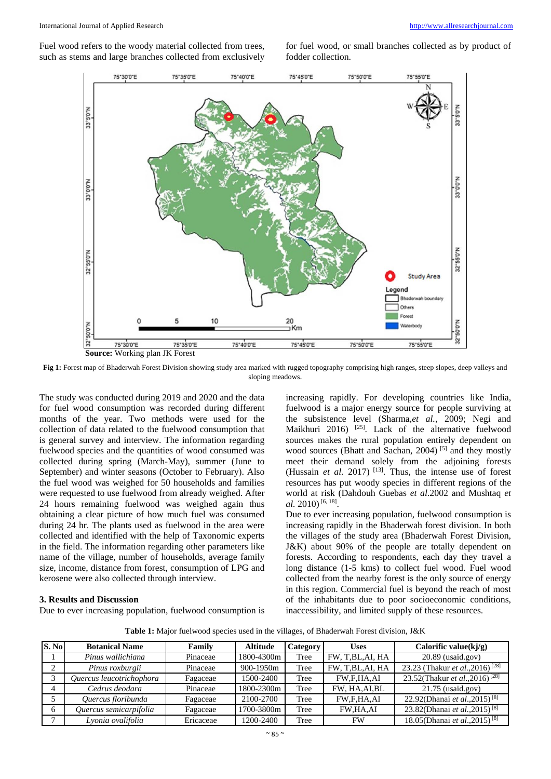Fuel wood refers to the woody material collected from trees, such as stems and large branches collected from exclusively

for fuel wood, or small branches collected as by product of fodder collection.



**Fig 1:** Forest map of Bhaderwah Forest Division showing study area marked with rugged topography comprising high ranges, steep slopes, deep valleys and sloping meadows.

The study was conducted during 2019 and 2020 and the data for fuel wood consumption was recorded during different months of the year. Two methods were used for the collection of data related to the fuelwood consumption that is general survey and interview. The information regarding fuelwood species and the quantities of wood consumed was collected during spring (March-May), summer (June to September) and winter seasons (October to February). Also the fuel wood was weighed for 50 households and families were requested to use fuelwood from already weighed. After 24 hours remaining fuelwood was weighed again thus obtaining a clear picture of how much fuel was consumed during 24 hr. The plants used as fuelwood in the area were collected and identified with the help of Taxonomic experts in the field. The information regarding other parameters like name of the village, number of households, average family size, income, distance from forest, consumption of LPG and kerosene were also collected through interview.

## **3. Results and Discussion**

Due to ever increasing population, fuelwood consumption is

increasing rapidly. For developing countries like India, fuelwood is a major energy source for people surviving at the subsistence level (Sharma,*et al.,* 2009; Negi and Maikhuri 2016) <sup>[25]</sup>. Lack of the alternative fuelwood sources makes the rural population entirely dependent on wood sources (Bhatt and Sachan, 2004)<sup>[5]</sup> and they mostly meet their demand solely from the adjoining forests (Hussain *et al.* 2017)<sup>[13]</sup>. Thus, the intense use of forest resources has put woody species in different regions of the world at risk (Dahdouh Guebas *et al*.2002 and Mushtaq *et*  al. 2010)<sup>[6, 18]</sup>.

Due to ever increasing population, fuelwood consumption is increasing rapidly in the Bhaderwah forest division. In both the villages of the study area (Bhaderwah Forest Division, J&K) about 90% of the people are totally dependent on forests. According to respondents, each day they travel a long distance (1-5 kms) to collect fuel wood. Fuel wood collected from the nearby forest is the only source of energy in this region. Commercial fuel is beyond the reach of most of the inhabitants due to poor socioeconomic conditions, inaccessibility, and limited supply of these resources.

**Table 1:** Major fuelwood species used in the villages, of Bhaderwah Forest division, J&K

| S. No  | <b>Botanical Name</b>    | Family    | <b>Altitude</b> | Category | <b>Uses</b>       | Calorific value $(kj/g)$                    |
|--------|--------------------------|-----------|-----------------|----------|-------------------|---------------------------------------------|
|        | Pinus wallichiana        | Pinaceae  | 1800-4300m      | Tree     | FW, T.BL, AI, HA  | 20.89 (usaid.gov)                           |
| $\sim$ | Pinus roxburgii          | Pinaceae  | 900-1950m       | Tree     | FW, T, BL, AI, HA | 23.23 (Thakur et al., 2016) <sup>[28]</sup> |
|        | Ouercus leucotrichophora | Fagaceae  | 1500-2400       | Tree     | FW,F,HA,AI        | 23.52(Thakur et al., 2016) <sup>[28]</sup>  |
|        | Cedrus deodara           | Pinaceae  | 1800-2300m      | Tree     | FW, HA, AI, BL    | $21.75$ (usaid.gov)                         |
|        | Quercus floribunda       | Fagaceae  | 2100-2700       | Tree     | <b>FW.F.HA.AI</b> | 22.92(Dhanai et al., 2015) <sup>[8]</sup>   |
| 6      | Ouercus semicarpifolia   | Fagaceae  | 1700-3800m      | Tree     | <b>FW.HA.AI</b>   | 23.82(Dhanai et al., 2015) <sup>[8]</sup>   |
|        | Lyonia ovalifolia        | Ericaceae | 1200-2400       | Tree     | <b>FW</b>         | 18.05(Dhanai et al., 2015) <sup>[8]</sup>   |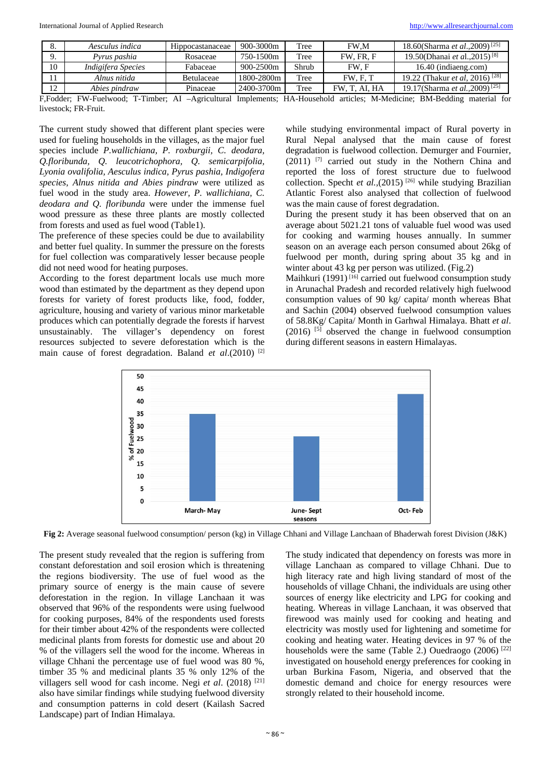|                                  | Aesculus indica    | Hippocastanaceae | 900-3000m     | Tree  | FW.M          | 18.60(Sharma <i>et al.</i> , 2009) <sup>[25]</sup> |
|----------------------------------|--------------------|------------------|---------------|-------|---------------|----------------------------------------------------|
|                                  | Pyrus pashia       | Rosaceae         | 750-1500m     | Tree  | FW. FR. F     | 19.50(Dhanai et al., 2015) <sup>[8]</sup>          |
| 10                               | Indigifera Species | Fabaceae         | $900 - 2500m$ | Shrub | FW. F         | 16.40 (indiaeng.com)                               |
| 11                               | Alnus nitida       | Betulaceae       | 1800-2800m    | Tree  | FW. F. T      | 19.22 (Thakur <i>et al.</i> 2016) <sup>[28]</sup>  |
| 1 <sub>2</sub><br>$\overline{1}$ | Abies pindraw      | Pinaceae         | 2400-3700m    | Tree  | FW. T. AI. HA | 19.17(Sharma <i>et al.</i> , 2009) <sup>[25]</sup> |

F,Fodder; FW-Fuelwood; T-Timber; AI –Agricultural Implements; HA-Household articles; M-Medicine; BM-Bedding material for livestock; FR-Fruit.

The current study showed that different plant species were used for fueling households in the villages, as the major fuel species include *P.wallichiana, P. roxburgii, C. deodara, Q.floribunda, Q. leucotrichophora, Q. semicarpifolia, Lyonia ovalifolia, Aesculus indica, Pyrus pashia, Indigofera species, Alnus nitida and Abies pindraw* were utilized as fuel wood in the study area. *However, P. wallichiana, C. deodara and Q. floribunda* were under the immense fuel wood pressure as these three plants are mostly collected from forests and used as fuel wood (Table1).

The preference of these species could be due to availability and better fuel quality. In summer the pressure on the forests for fuel collection was comparatively lesser because people did not need wood for heating purposes.

According to the forest department locals use much more wood than estimated by the department as they depend upon forests for variety of forest products like, food, fodder, agriculture, housing and variety of various minor marketable produces which can potentially degrade the forests if harvest unsustainably. The villager's dependency on forest resources subjected to severe deforestation which is the main cause of forest degradation. Baland *et al*.(2010) [2]

while studying environmental impact of Rural poverty in Rural Nepal analysed that the main cause of forest degradation is fuelwood collection. Demurger and Fournier, (2011) [7] carried out study in the Nothern China and reported the loss of forest structure due to fuelwood collection. Specht *et al.*,(2015)<sup>[26]</sup> while studying Brazilian Atlantic Forest also analysed that collection of fuelwood was the main cause of forest degradation.

During the present study it has been observed that on an average about 5021.21 tons of valuable fuel wood was used for cooking and warming houses annually. In summer season on an average each person consumed about 26kg of fuelwood per month, during spring about 35 kg and in winter about 43 kg per person was utilized. (Fig.2)

Maihkuri (1991)<sup>[16]</sup> carried out fuelwood consumption study in Arunachal Pradesh and recorded relatively high fuelwood consumption values of 90 kg/ capita/ month whereas Bhat and Sachin (2004) observed fuelwood consumption values of 58.8Kg/ Capita/ Month in Garhwal Himalaya. Bhatt *et al*.  $(2016)$  <sup>[5]</sup> observed the change in fuelwood consumption during different seasons in eastern Himalayas.



**Fig 2:** Average seasonal fuelwood consumption/ person (kg) in Village Chhani and Village Lanchaan of Bhaderwah forest Division (J&K)

The present study revealed that the region is suffering from constant deforestation and soil erosion which is threatening the regions biodiversity. The use of fuel wood as the primary source of energy is the main cause of severe deforestation in the region. In village Lanchaan it was observed that 96% of the respondents were using fuelwood for cooking purposes, 84% of the respondents used forests for their timber about 42% of the respondents were collected medicinal plants from forests for domestic use and about 20 % of the villagers sell the wood for the income. Whereas in village Chhani the percentage use of fuel wood was 80 %, timber 35 % and medicinal plants 35 % only 12% of the villagers sell wood for cash income. Negi *et al*. (2018) [21] also have similar findings while studying fuelwood diversity and consumption patterns in cold desert (Kailash Sacred Landscape) part of Indian Himalaya.

The study indicated that dependency on forests was more in village Lanchaan as compared to village Chhani. Due to high literacy rate and high living standard of most of the households of village Chhani, the individuals are using other sources of energy like electricity and LPG for cooking and heating. Whereas in village Lanchaan, it was observed that firewood was mainly used for cooking and heating and electricity was mostly used for lightening and sometime for cooking and heating water. Heating devices in 97 % of the households were the same (Table 2.) Ouedraogo (2006) <sup>[22]</sup> investigated on household energy preferences for cooking in urban Burkina Fasom, Nigeria, and observed that the domestic demand and choice for energy resources were strongly related to their household income.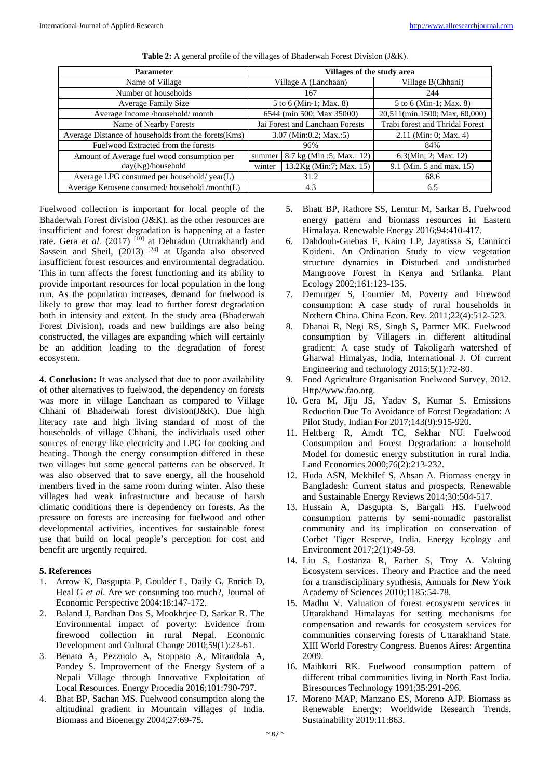| <b>Parameter</b>                                     | Villages of the study area |                                 |                                 |  |  |
|------------------------------------------------------|----------------------------|---------------------------------|---------------------------------|--|--|
| Name of Village                                      |                            | Village A (Lanchaan)            | Village B(Chhani)               |  |  |
| Number of households                                 |                            | 167                             | 244                             |  |  |
| Average Family Size                                  |                            | 5 to 6 (Min-1; Max. 8)          | 5 to 6 (Min-1; Max. 8)          |  |  |
| Average Income /household/ month                     |                            | 6544 (min 500; Max 35000)       | 20,511(min.1500; Max, 60,000)   |  |  |
| Name of Nearby Forests                               |                            | Jai Forest and Lanchaan Forests | Trabi forest and Thridal Forest |  |  |
| Average Distance of households from the forets (Kms) |                            | $3.07$ (Min:0.2; Max.:5)        | $2.11$ (Min: 0; Max. 4)         |  |  |
| Fuelwood Extracted from the forests                  | 96%                        |                                 | 84%                             |  |  |
| Amount of Average fuel wood consumption per          | summer                     | 8.7 kg (Min :5; Max.: 12)       | 6.3(Min; 2; Max. 12)            |  |  |
| day(Kg)/household                                    | winter                     | 13.2Kg (Min:7; Max. 15)         | 9.1 (Min. 5 and max. 15)        |  |  |
| Average LPG consumed per household/year(L)           | 31.2                       |                                 | 68.6                            |  |  |
| Average Kerosene consumed/household/month(L)         |                            | 4.3                             | 6.5                             |  |  |
|                                                      |                            |                                 |                                 |  |  |

**Table 2:** A general profile of the villages of Bhaderwah Forest Division (J&K).

Fuelwood collection is important for local people of the Bhaderwah Forest division (J&K). as the other resources are insufficient and forest degradation is happening at a faster rate. Gera *et al.* (2017)<sup>[10]</sup> at Dehradun (Utrrakhand) and Sassein and Sheil,  $(2013)$ <sup>[24]</sup> at Uganda also observed insufficient forest resources and environmental degradation. This in turn affects the forest functioning and its ability to provide important resources for local population in the long run. As the population increases, demand for fuelwood is likely to grow that may lead to further forest degradation both in intensity and extent. In the study area (Bhaderwah Forest Division), roads and new buildings are also being constructed, the villages are expanding which will certainly be an addition leading to the degradation of forest ecosystem.

**4. Conclusion:** It was analysed that due to poor availability of other alternatives to fuelwood, the dependency on forests was more in village Lanchaan as compared to Village Chhani of Bhaderwah forest division(J&K). Due high literacy rate and high living standard of most of the households of village Chhani, the individuals used other sources of energy like electricity and LPG for cooking and heating. Though the energy consumption differed in these two villages but some general patterns can be observed. It was also observed that to save energy, all the household members lived in the same room during winter. Also these villages had weak infrastructure and because of harsh climatic conditions there is dependency on forests. As the pressure on forests are increasing for fuelwood and other developmental activities, incentives for sustainable forest use that build on local people's perception for cost and benefit are urgently required.

# **5. References**

- 1. Arrow K, Dasgupta P, Goulder L, Daily G, Enrich D, Heal G *et al*. Are we consuming too much?, Journal of Economic Perspective 2004:18:147-172.
- 2. Baland J, Bardhan Das S, Mookhrjee D, Sarkar R. The Environmental impact of poverty: Evidence from firewood collection in rural Nepal. Economic Development and Cultural Change 2010;59(1):23-61.
- 3. Benato A, Pezzuolo A, Stoppato A, Mirandola A, Pandey S. Improvement of the Energy System of a Nepali Village through Innovative Exploitation of Local Resources. Energy Procedia 2016;101:790-797.
- 4. Bhat BP, Sachan MS. Fuelwood consumption along the altitudinal gradient in Mountain villages of India. Biomass and Bioenergy 2004;27:69-75.
- 5. Bhatt BP, Rathore SS, Lemtur M, Sarkar B. Fuelwood energy pattern and biomass resources in Eastern Himalaya. Renewable Energy 2016;94:410-417.
- 6. Dahdouh-Guebas F, Kairo LP, Jayatissa S, Cannicci Koideni. An Ordination Study to view vegetation structure dynamics in Disturbed and undisturbed Mangroove Forest in Kenya and Srilanka. Plant Ecology 2002;161:123-135.
- 7. Demurger S, Fournier M. Poverty and Firewood consumption: A case study of rural households in Nothern China. China Econ. Rev. 2011;22(4):512-523.
- 8. Dhanai R, Negi RS, Singh S, Parmer MK. Fuelwood consumption by Villagers in different altitudinal gradient: A case study of Takoligarh watershed of Gharwal Himalyas, India, International J. Of current Engineering and technology 2015;5(1):72-80.
- 9. Food Agriculture Organisation Fuelwood Survey, 2012. Http//www.fao.org.
- 10. Gera M, Jiju JS, Yadav S, Kumar S. Emissions Reduction Due To Avoidance of Forest Degradation: A Pilot Study, Indian For 2017;143(9):915-920.
- 11. Heltberg R, Arndt TC, Sekhar NU. Fuelwood Consumption and Forest Degradation: a household Model for domestic energy substitution in rural India. Land Economics 2000;76(2):213-232.
- 12. Huda ASN, Mekhilef S, Ahsan A. Biomass energy in Bangladesh: Current status and prospects. Renewable and Sustainable Energy Reviews 2014;30:504-517.
- 13. Hussain A, Dasgupta S, Bargali HS. Fuelwood consumption patterns by semi-nomadic pastoralist community and its implication on conservation of Corbet Tiger Reserve, India. Energy Ecology and Environment 2017;2(1):49-59.
- 14. Liu S, Lostanza R, Farber S, Troy A. Valuing Ecosystem services. Theory and Practice and the need for a transdisciplinary synthesis, Annuals for New York Academy of Sciences 2010;1185:54-78.
- 15. Madhu V. Valuation of forest ecosystem services in Uttarakhand Himalayas for setting mechanisms for compensation and rewards for ecosystem services for communities conserving forests of Uttarakhand State. XIII World Forestry Congress. Buenos Aires: Argentina 2009.
- 16. Maihkuri RK. Fuelwood consumption pattern of different tribal communities living in North East India. Biresources Technology 1991;35:291-296.
- 17. Moreno MAP, Manzano ES, Moreno AJP. Biomass as Renewable Energy: Worldwide Research Trends. Sustainability 2019:11:863.